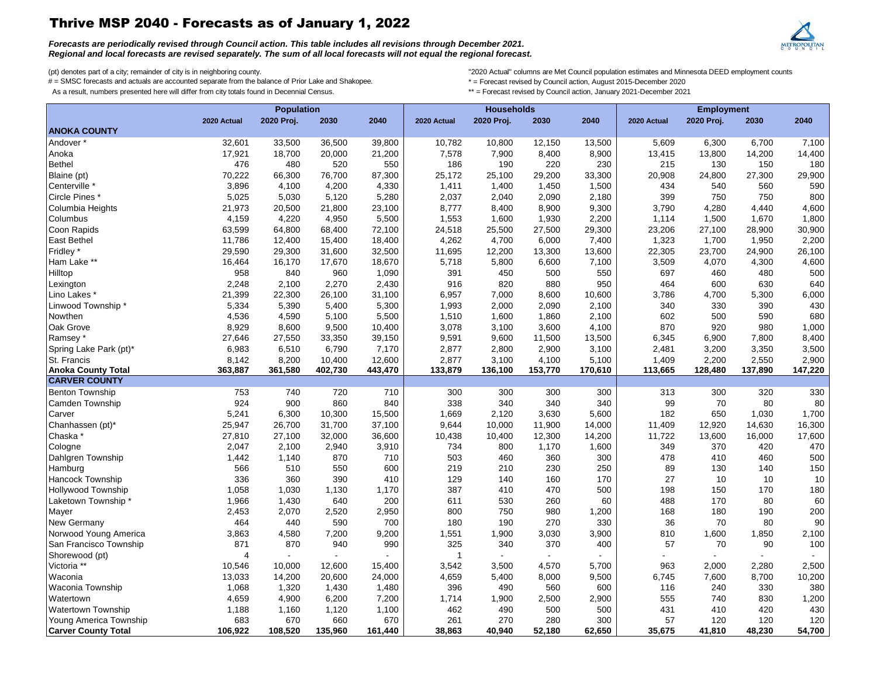## Thrive MSP 2040 - Forecasts as of January 1, 2022

*Forecasts are periodically revised through Council action. This table includes all revisions through December 2021. Regional and local forecasts are revised separately. The sum of all local forecasts will not equal the regional forecast.*

# = SMSC forecasts and actuals are accounted separate from the balance of Prior Lake and Shakopee. \* \* = Forecast revised by Council action, August 2015-December 2020<br>As a result, numbers presented here will differ from ci

As a result, numbers presented here will differ from city totals found in Decennial Census.

- 
- 

|                            |                | <b>Population</b> | <b>Households</b> |         |             |            | <b>Employment</b> |         |             |            |         |         |
|----------------------------|----------------|-------------------|-------------------|---------|-------------|------------|-------------------|---------|-------------|------------|---------|---------|
|                            | 2020 Actual    | 2020 Proj.        | 2030              | 2040    | 2020 Actual | 2020 Proj. | 2030              | 2040    | 2020 Actual | 2020 Proj. | 2030    | 2040    |
| <b>ANOKA COUNTY</b>        |                |                   |                   |         |             |            |                   |         |             |            |         |         |
| Andover <sup>*</sup>       | 32,601         | 33,500            | 36,500            | 39,800  | 10,782      | 10,800     | 12,150            | 13,500  | 5,609       | 6,300      | 6,700   | 7,100   |
| Anoka                      | 17,921         | 18,700            | 20,000            | 21,200  | 7,578       | 7,900      | 8,400             | 8,900   | 13,415      | 13,800     | 14,200  | 14,400  |
| <b>Bethel</b>              | 476            | 480               | 520               | 550     | 186         | 190        | 220               | 230     | 215         | 130        | 150     | 180     |
| Blaine (pt)                | 70,222         | 66,300            | 76,700            | 87,300  | 25,172      | 25,100     | 29,200            | 33,300  | 20,908      | 24,800     | 27,300  | 29,900  |
| Centerville *              | 3,896          | 4,100             | 4,200             | 4,330   | 1,411       | 1,400      | 1,450             | 1,500   | 434         | 540        | 560     | 590     |
| Circle Pines*              | 5,025          | 5,030             | 5,120             | 5,280   | 2,037       | 2,040      | 2,090             | 2,180   | 399         | 750        | 750     | 800     |
| Columbia Heights           | 21,973         | 20,500            | 21,800            | 23,100  | 8,777       | 8,400      | 8,900             | 9,300   | 3,790       | 4,280      | 4,440   | 4,600   |
| Columbus                   | 4,159          | 4,220             | 4,950             | 5,500   | 1,553       | 1,600      | 1,930             | 2,200   | 1,114       | 1,500      | 1,670   | 1,800   |
| Coon Rapids                | 63,599         | 64,800            | 68,400            | 72,100  | 24,518      | 25,500     | 27,500            | 29,300  | 23,206      | 27,100     | 28,900  | 30,900  |
| East Bethel                | 11,786         | 12,400            | 15,400            | 18,400  | 4,262       | 4,700      | 6,000             | 7,400   | 1,323       | 1,700      | 1,950   | 2,200   |
| Fridley                    | 29,590         | 29,300            | 31,600            | 32,500  | 11,695      | 12,200     | 13,300            | 13,600  | 22,305      | 23,700     | 24,900  | 26,100  |
| Ham Lake **                | 16,464         | 16,170            | 17,670            | 18,670  | 5,718       | 5,800      | 6,600             | 7,100   | 3,509       | 4,070      | 4,300   | 4,600   |
| Hilltop                    | 958            | 840               | 960               | 1,090   | 391         | 450        | 500               | 550     | 697         | 460        | 480     | 500     |
| Lexington                  | 2,248          | 2,100             | 2,270             | 2,430   | 916         | 820        | 880               | 950     | 464         | 600        | 630     | 640     |
| Lino Lakes*                | 21,399         | 22,300            | 26,100            | 31,100  | 6,957       | 7,000      | 8,600             | 10,600  | 3,786       | 4,700      | 5,300   | 6,000   |
| Linwood Township *         | 5,334          | 5,390             | 5,400             | 5,300   | 1,993       | 2,000      | 2,090             | 2,100   | 340         | 330        | 390     | 430     |
| Nowthen                    | 4,536          | 4,590             | 5,100             | 5,500   | 1,510       | 1,600      | 1,860             | 2,100   | 602         | 500        | 590     | 680     |
| Oak Grove                  | 8,929          | 8,600             | 9,500             | 10,400  | 3,078       | 3,100      | 3,600             | 4,100   | 870         | 920        | 980     | 1,000   |
| Ramsey *                   | 27,646         | 27,550            | 33,350            | 39,150  | 9,591       | 9,600      | 11,500            | 13,500  | 6,345       | 6,900      | 7,800   | 8,400   |
| Spring Lake Park (pt)*     | 6,983          | 6,510             | 6,790             | 7,170   | 2,877       | 2,800      | 2,900             | 3,100   | 2,481       | 3,200      | 3,350   | 3,500   |
| St. Francis                | 8,142          | 8,200             | 10,400            | 12,600  | 2,877       | 3,100      | 4,100             | 5,100   | 1,409       | 2,200      | 2,550   | 2,900   |
| <b>Anoka County Total</b>  | 363,887        | 361,580           | 402,730           | 443,470 | 133,879     | 136,100    | 153,770           | 170,610 | 113,665     | 128,480    | 137,890 | 147,220 |
| <b>CARVER COUNTY</b>       |                |                   |                   |         |             |            |                   |         |             |            |         |         |
| Benton Township            | 753            | 740               | 720               | 710     | 300         | 300        | 300               | 300     | 313         | 300        | 320     | 330     |
| <b>Camden Township</b>     | 924            | 900               | 860               | 840     | 338         | 340        | 340               | 340     | 99          | 70         | 80      | 80      |
| Carver                     | 5,241          | 6,300             | 10,300            | 15,500  | 1,669       | 2,120      | 3,630             | 5,600   | 182         | 650        | 1,030   | 1,700   |
| Chanhassen (pt)*           | 25,947         | 26,700            | 31,700            | 37,100  | 9,644       | 10,000     | 11,900            | 14,000  | 11,409      | 12,920     | 14,630  | 16,300  |
| Chaska                     | 27,810         | 27,100            | 32,000            | 36,600  | 10,438      | 10,400     | 12,300            | 14,200  | 11,722      | 13,600     | 16,000  | 17,600  |
| Cologne                    | 2,047          | 2,100             | 2,940             | 3,910   | 734         | 800        | 1,170             | 1,600   | 349         | 370        | 420     | 470     |
| Dahlgren Township          | 1,442          | 1,140             | 870               | 710     | 503         | 460        | 360               | 300     | 478         | 410        | 460     | 500     |
| Hamburg                    | 566            | 510               | 550               | 600     | 219         | 210        | 230               | 250     | 89          | 130        | 140     | 150     |
| <b>Hancock Township</b>    | 336            | 360               | 390               | 410     | 129         | 140        | 160               | 170     | 27          | 10         | 10      | 10      |
| <b>Hollywood Township</b>  | 1,058          | 1,030             | 1,130             | 1,170   | 387         | 410        | 470               | 500     | 198         | 150        | 170     | 180     |
| Laketown Township *        | 1,966          | 1,430             | 640               | 200     | 611         | 530        | 260               | 60      | 488         | 170        | 80      | 60      |
| Mayer                      | 2,453          | 2,070             | 2,520             | 2,950   | 800         | 750        | 980               | 1,200   | 168         | 180        | 190     | 200     |
| New Germany                | 464            | 440               | 590               | 700     | 180         | 190        | 270               | 330     | 36          | 70         | 80      | 90      |
| Norwood Young America      | 3,863          | 4,580             | 7,200             | 9,200   | 1,551       | 1,900      | 3,030             | 3,900   | 810         | 1,600      | 1,850   | 2,100   |
| San Francisco Township     | 871            | 870               | 940               | 990     | 325         | 340        | 370               | 400     | 57          | 70         | 90      | 100     |
| Shorewood (pt)             | $\overline{4}$ | $\blacksquare$    | $\blacksquare$    |         |             |            |                   |         |             |            |         |         |
| Victoria **                | 10,546         | 10,000            | 12,600            | 15,400  | 3,542       | 3,500      | 4,570             | 5,700   | 963         | 2,000      | 2,280   | 2,500   |
| Waconia                    | 13,033         | 14,200            | 20,600            | 24,000  | 4,659       | 5,400      | 8,000             | 9,500   | 6,745       | 7,600      | 8,700   | 10,200  |
| Waconia Township           | 1,068          | 1,320             | 1,430             | 1,480   | 396         | 490        | 560               | 600     | 116         | 240        | 330     | 380     |
| Watertown                  | 4,659          | 4,900             | 6,200             | 7,200   | 1,714       | 1,900      | 2,500             | 2,900   | 555         | 740        | 830     | 1,200   |
| <b>Watertown Township</b>  | 1,188          | 1,160             | 1,120             | 1,100   | 462         | 490        | 500               | 500     | 431         | 410        | 420     | 430     |
| Young America Township     | 683            | 670               | 660               | 670     | 261         | 270        | 280               | 300     | 57          | 120        | 120     | 120     |
| <b>Carver County Total</b> | 106,922        | 108,520           | 135,960           | 161,440 | 38,863      | 40,940     | 52,180            | 62,650  | 35,675      | 41,810     | 48,230  | 54,700  |

<sup>(</sup>pt) denotes part of a city; remainder of city is in neighboring county. The match of council counts are Met Council population estimates and Minnesota DEED employment counts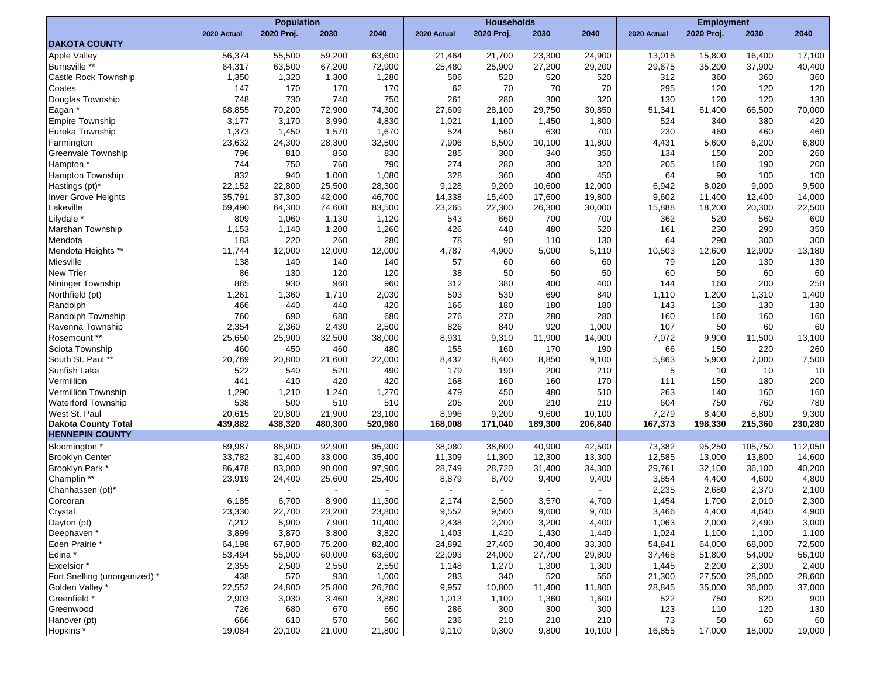|                                      | <b>Population</b> |                |                |              | <b>Households</b> |            |          |           | <b>Employment</b> |            |           |           |
|--------------------------------------|-------------------|----------------|----------------|--------------|-------------------|------------|----------|-----------|-------------------|------------|-----------|-----------|
|                                      | 2020 Actual       | 2020 Proj.     | 2030           | 2040         | 2020 Actual       | 2020 Proj. | 2030     | 2040      | 2020 Actual       | 2020 Proj. | 2030      | 2040      |
| <b>DAKOTA COUNTY</b>                 |                   |                |                |              |                   |            |          |           |                   |            |           |           |
| Apple Valley                         | 56,374            | 55,500         | 59,200         | 63,600       | 21,464            | 21,700     | 23,300   | 24,900    | 13,016            | 15,800     | 16,400    | 17,100    |
| Burnsville **                        | 64,317            | 63,500         | 67,200         | 72,900       | 25,480            | 25,900     | 27,200   | 29,200    | 29,675            | 35,200     | 37,900    | 40,400    |
| Castle Rock Township                 | 1,350             | 1,320          | 1,300          | 1,280        | 506               | 520        | 520      | 520       | 312               | 360        | 360       | 360       |
| Coates                               | 147               | 170            | 170            | 170          | 62                | 70         | 70       | 70        | 295               | 120        | 120       | 120       |
| Douglas Township                     | 748               | 730            | 740            | 750          | 261               | 280        | 300      | 320       | 130               | 120        | 120       | 130       |
| Eagan <sup>3</sup>                   | 68,855            | 70,200         | 72,900         | 74,300       | 27,609            | 28,100     | 29,750   | 30,850    | 51,341            | 61,400     | 66,500    | 70,000    |
| <b>Empire Township</b>               | 3,177             | 3,170          | 3,990          | 4,830        | 1,021             | 1,100      | 1,450    | 1,800     | 524               | 340        | 380       | 420       |
| Eureka Township                      | 1,373             | 1,450          | 1,570          | 1,670        | 524               | 560        | 630      | 700       | 230               | 460        | 460       | 460       |
| Farmington                           | 23,632            | 24,300         | 28,300         | 32,500       | 7,906             | 8,500      | 10,100   | 11,800    | 4,431             | 5,600      | 6,200     | 6,800     |
| Greenvale Township                   | 796               | 810            | 850            | 830          | 285               | 300        | 340      | 350       | 134               | 150        | 200       | 260       |
| Hampton <sup>*</sup>                 | 744               | 750            | 760            | 790          | 274               | 280        | 300      | 320       | 205               | 160        | 190       | 200       |
| <b>Hampton Township</b>              | 832               | 940            | 1,000          | 1,080        | 328               | 360        | 400      | 450       | 64                | 90         | 100       | 100       |
| Hastings (pt)*                       | 22,152            | 22,800         | 25,500         | 28,300       | 9,128             | 9,200      | 10,600   | 12,000    | 6,942             | 8,020      | 9,000     | 9,500     |
| Inver Grove Heights                  | 35,791            | 37,300         | 42,000         | 46,700       | 14,338            | 15,400     | 17,600   | 19,800    | 9,602             | 11,400     | 12,400    | 14,000    |
| Lakeville                            | 69,490            | 64,300         | 74,600         | 83,500       | 23,265            | 22,300     | 26,300   | 30,000    | 15,888            | 18,200     | 20,300    | 22,500    |
| Lilydale <sup>*</sup>                | 809               | 1,060          | 1,130          | 1,120        | 543               | 660        | 700      | 700       | 362               | 520        | 560       | 600       |
| Marshan Township                     | 1,153             | 1,140          | 1,200          | 1,260        | 426<br>78         | 440        | 480      | 520       | 161               | 230        | 290       | 350       |
| Mendota                              | 183               | 220            | 260            | 280          |                   | 90         | 110      | 130       | 64                | 290        | 300       | 300       |
| Mendota Heights **                   | 11,744            | 12,000         | 12,000         | 12,000       | 4,787             | 4,900      | 5,000    | 5,110     | 10,503            | 12,600     | 12,900    | 13,180    |
| Miesville                            | 138               | 140            | 140            | 140          | 57<br>38          | 60         | 60<br>50 | 60        | 79                | 120        | 130       | 130       |
| <b>New Trier</b>                     | 86<br>865         | 130<br>930     | 120<br>960     | 120<br>960   | 312               | 50<br>380  | 400      | 50<br>400 | 60<br>144         | 50<br>160  | 60<br>200 | 60<br>250 |
| Nininger Township<br>Northfield (pt) |                   |                | 1,710          |              | 503               | 530        | 690      | 840       | 1,110             | 1,200      | 1,310     | 1,400     |
| Randolph                             | 1,261<br>466      | 1,360<br>440   | 440            | 2,030<br>420 | 166               | 180        | 180      | 180       | 143               | 130        | 130       | 130       |
| Randolph Township                    | 760               | 690            | 680            | 680          | 276               | 270        | 280      | 280       | 160               | 160        | 160       | 160       |
| Ravenna Township                     | 2,354             | 2,360          | 2,430          | 2,500        | 826               | 840        | 920      | 1,000     | 107               | 50         | 60        | 60        |
| Rosemount **                         | 25,650            | 25,900         | 32,500         | 38,000       | 8,931             | 9,310      | 11,900   | 14,000    | 7,072             | 9,900      | 11,500    | 13,100    |
| Sciota Township                      | 460               | 450            | 460            | 480          | 155               | 160        | 170      | 190       | 66                | 150        | 220       | 260       |
| South St. Paul **                    | 20,769            | 20,800         | 21,600         | 22,000       | 8,432             | 8,400      | 8,850    | 9,100     | 5,863             | 5,900      | 7,000     | 7,500     |
| <b>Sunfish Lake</b>                  | 522               | 540            | 520            | 490          | 179               | 190        | 200      | 210       | 5                 | 10         | 10        | 10        |
| Vermillion                           | 441               | 410            | 420            | 420          | 168               | 160        | 160      | 170       | 111               | 150        | 180       | 200       |
| Vermillion Township                  | 1,290             | 1,210          | 1,240          | 1,270        | 479               | 450        | 480      | 510       | 263               | 140        | 160       | 160       |
| <b>Waterford Township</b>            | 538               | 500            | 510            | 510          | 205               | 200        | 210      | 210       | 604               | 750        | 760       | 780       |
| West St. Paul                        | 20,615            | 20,800         | 21,900         | 23,100       | 8,996             | 9,200      | 9,600    | 10,100    | 7,279             | 8,400      | 8,800     | 9,300     |
| Dakota County Total                  | 439,882           | 438,320        | 480,300        | 520,980      | 168,008           | 171,040    | 189,300  | 206,840   | 167,373           | 198,330    | 215,360   | 230,280   |
| <b>HENNEPIN COUNTY</b>               |                   |                |                |              |                   |            |          |           |                   |            |           |           |
| Bloomington *                        | 89,987            | 88,900         | 92,900         | 95,900       | 38,080            | 38,600     | 40,900   | 42,500    | 73,382            | 95,250     | 105,750   | 112,050   |
| <b>Brooklyn Center</b>               | 33,782            | 31,400         | 33,000         | 35,400       | 11,309            | 11,300     | 12,300   | 13,300    | 12,585            | 13,000     | 13,800    | 14,600    |
| Brooklyn Park *                      | 86,478            | 83,000         | 90,000         | 97,900       | 28,749            | 28,720     | 31,400   | 34,300    | 29,761            | 32,100     | 36,100    | 40,200    |
| Champlin <sup>**</sup>               | 23,919            | 24,400         | 25,600         | 25,400       | 8,879             | 8,700      | 9,400    | 9,400     | 3,854             | 4,400      | 4,600     | 4,800     |
| Chanhassen (pt)*                     |                   | $\blacksquare$ | $\blacksquare$ |              |                   |            |          |           | 2,235             | 2,680      | 2,370     | 2,100     |
| Corcoran                             | 6,185             | 6,700          | 8,900          | 11,300       | 2,174             | 2,500      | 3,570    | 4,700     | 1,454             | 1,700      | 2,010     | 2,300     |
| Crystal                              | 23,330            | 22,700         | 23,200         | 23,800       | 9,552             | 9,500      | 9,600    | 9,700     | 3,466             | 4,400      | 4,640     | 4,900     |
| Dayton (pt)                          | 7,212             | 5,900          | 7,900          | 10,400       | 2,438             | 2,200      | 3,200    | 4,400     | 1,063             | 2,000      | 2,490     | 3,000     |
| Deephaven *                          | 3,899             | 3,870          | 3,800          | 3,820        | 1,403             | 1,420      | 1,430    | 1,440     | 1,024             | 1,100      | 1,100     | 1,100     |
| Eden Prairie *                       | 64,198            | 67,900         | 75,200         | 82,400       | 24,892            | 27,400     | 30,400   | 33,300    | 54,841            | 64,000     | 68,000    | 72,500    |
| Edina *                              | 53,494            | 55,000         | 60,000         | 63,600       | 22,093            | 24,000     | 27,700   | 29,800    | 37,468            | 51,800     | 54,000    | 56,100    |
| Excelsior *                          | 2,355             | 2,500          | 2,550          | 2,550        | 1,148             | 1,270      | 1,300    | 1,300     | 1,445             | 2,200      | 2,300     | 2,400     |
| Fort Snelling (unorganized) *        | 438               | 570            | 930            | 1,000        | 283               | 340        | 520      | 550       | 21,300            | 27,500     | 28,000    | 28,600    |
| Golden Valley *                      | 22,552            | 24,800         | 25,800         | 26,700       | 9,957             | 10,800     | 11,400   | 11,800    | 28,845            | 35,000     | 36,000    | 37,000    |
| Greenfield '                         | 2,903             | 3,030          | 3,460          | 3,880        | 1,013             | 1,100      | 1,360    | 1,600     | 522               | 750        | 820       | 900       |
| Greenwood                            | 726               | 680            | 670            | 650          | 286               | 300        | 300      | 300       | 123               | 110        | 120       | 130       |
| Hanover (pt)                         | 666               | 610            | 570            | 560          | 236               | 210        | 210      | 210       | 73                | 50         | 60        | 60        |
| Hopkins*                             | 19,084            | 20,100         | 21,000         | 21,800       | 9,110             | 9,300      | 9,800    | 10,100    | 16,855            | 17,000     | 18,000    | 19,000    |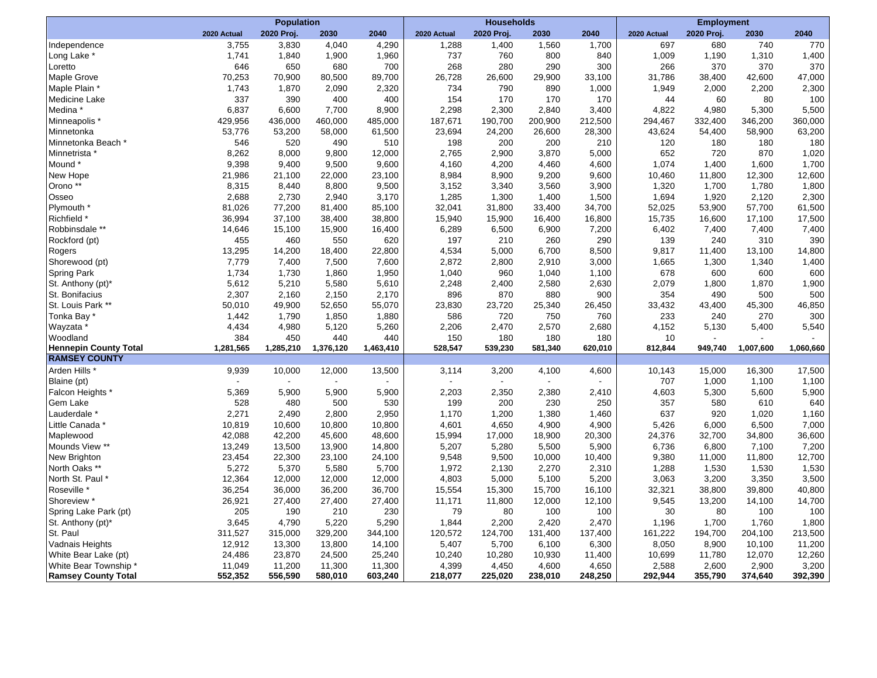|                              | <b>Population</b> |                |                |           |             | <b>Households</b> |         |         | <b>Employment</b> |            |           |           |
|------------------------------|-------------------|----------------|----------------|-----------|-------------|-------------------|---------|---------|-------------------|------------|-----------|-----------|
|                              | 2020 Actual       | 2020 Proj.     | 2030           | 2040      | 2020 Actual | 2020 Proj.        | 2030    | 2040    | 2020 Actual       | 2020 Proj. | 2030      | 2040      |
| Independence                 | 3,755             | 3,830          | 4,040          | 4,290     | 1,288       | 1,400             | 1,560   | 1,700   | 697               | 680        | 740       | 770       |
| Long Lake                    | 1,741             | 1,840          | 1,900          | 1,960     | 737         | 760               | 800     | 840     | 1,009             | 1,190      | 1,310     | 1,400     |
| Loretto                      | 646               | 650            | 680            | 700       | 268         | 280               | 290     | 300     | 266               | 370        | 370       | 370       |
| <b>Maple Grove</b>           | 70,253            | 70,900         | 80,500         | 89,700    | 26,728      | 26,600            | 29,900  | 33,100  | 31,786            | 38,400     | 42,600    | 47,000    |
| Maple Plain                  | 1,743             | 1,870          | 2,090          | 2,320     | 734         | 790               | 890     | 1,000   | 1,949             | 2,000      | 2,200     | 2,300     |
| Medicine Lake                | 337               | 390            | 400            | 400       | 154         | 170               | 170     | 170     | 44                | 60         | 80        | 100       |
| Medina <sup>*</sup>          | 6,837             | 6,600          | 7,700          | 8,900     | 2,298       | 2,300             | 2,840   | 3,400   | 4,822             | 4,980      | 5,300     | 5,500     |
| Minneapolis *                | 429,956           | 436,000        | 460,000        | 485,000   | 187,671     | 190,700           | 200,900 | 212,500 | 294,467           | 332,400    | 346,200   | 360,000   |
| Minnetonka                   | 53,776            | 53,200         | 58,000         | 61,500    | 23,694      | 24,200            | 26,600  | 28,300  | 43,624            | 54,400     | 58,900    | 63,200    |
| Minnetonka Beach *           | 546               | 520            | 490            | 510       | 198         | 200               | 200     | 210     | 120               | 180        | 180       | 180       |
| Minnetrista *                | 8,262             | 8,000          | 9,800          | 12,000    | 2,765       | 2,900             | 3,870   | 5,000   | 652               | 720        | 870       | 1,020     |
| Mound                        | 9,398             | 9,400          | 9,500          | 9,600     | 4,160       | 4,200             | 4,460   | 4,600   | 1,074             | 1,400      | 1,600     | 1,700     |
| New Hope                     | 21,986            | 21,100         | 22,000         | 23,100    | 8,984       | 8,900             | 9,200   | 9,600   | 10,460            | 11,800     | 12,300    | 12,600    |
| Orono **                     | 8,315             | 8,440          | 8,800          | 9,500     | 3,152       | 3,340             | 3,560   | 3,900   | 1,320             | 1,700      | 1,780     | 1,800     |
| Osseo                        | 2,688             | 2,730          | 2,940          | 3,170     | 1,285       | 1,300             | 1,400   | 1,500   | 1,694             | 1,920      | 2,120     | 2,300     |
| Plymouth *                   | 81,026            | 77,200         | 81,400         | 85,100    | 32,041      | 31,800            | 33,400  | 34,700  | 52,025            | 53,900     | 57,700    | 61,500    |
| Richfield *                  | 36,994            | 37,100         | 38,400         | 38,800    | 15,940      | 15,900            | 16,400  | 16,800  | 15,735            | 16,600     | 17,100    | 17,500    |
| Robbinsdale **               | 14,646            | 15,100         | 15,900         | 16,400    | 6,289       | 6,500             | 6,900   | 7,200   | 6,402             | 7,400      | 7,400     | 7,400     |
| Rockford (pt)                | 455               | 460            | 550            | 620       | 197         | 210               | 260     | 290     | 139               | 240        | 310       | 390       |
| Rogers                       | 13,295            | 14,200         | 18,400         | 22,800    | 4,534       | 5,000             | 6,700   | 8,500   | 9,817             | 11,400     | 13,100    | 14,800    |
| Shorewood (pt)               | 7,779             | 7,400          | 7,500          | 7,600     | 2,872       | 2,800             | 2,910   | 3,000   | 1,665             | 1,300      | 1,340     | 1,400     |
| <b>Spring Park</b>           | 1,734             | 1,730          | 1,860          | 1,950     | 1,040       | 960               | 1,040   | 1,100   | 678               | 600        | 600       | 600       |
| St. Anthony (pt)*            | 5,612             | 5,210          | 5,580          | 5,610     | 2,248       | 2,400             | 2,580   | 2,630   | 2,079             | 1,800      | 1,870     | 1,900     |
| St. Bonifacius               | 2,307             | 2,160          | 2,150          | 2,170     | 896         | 870               | 880     | 900     | 354               | 490        | 500       | 500       |
| St. Louis Park **            | 50,010            | 49,900         | 52,650         | 55,070    | 23,830      | 23,720            | 25,340  | 26,450  | 33,432            | 43,400     | 45,300    | 46,850    |
| Tonka Bay*                   | 1,442             | 1,790          | 1,850          | 1,880     | 586         | 720               | 750     | 760     | 233               | 240        | 270       | 300       |
| Wayzata                      | 4,434             | 4,980          | 5,120          | 5,260     | 2,206       | 2,470             | 2,570   | 2,680   | 4,152             | 5,130      | 5,400     | 5,540     |
| Woodland                     | 384               | 450            | 440            | 440       | 150         | 180               | 180     | 180     | 10                |            |           |           |
| <b>Hennepin County Total</b> | 1,281,565         | 1,285,210      | 1,376,120      | 1,463,410 | 528,547     | 539,230           | 581,340 | 620,010 | 812,844           | 949,740    | 1,007,600 | 1,060,660 |
| <b>RAMSEY COUNTY</b>         |                   |                |                |           |             |                   |         |         |                   |            |           |           |
| Arden Hills *                | 9,939             | 10,000         | 12,000         | 13,500    | 3,114       | 3,200             | 4,100   | 4,600   | 10,143            | 15,000     | 16,300    | 17,500    |
| Blaine (pt)                  |                   | $\blacksquare$ | $\blacksquare$ |           |             |                   |         |         | 707               | 1,000      | 1,100     | 1,100     |
| Falcon Heights *             | 5,369             | 5,900          | 5,900          | 5,900     | 2,203       | 2,350             | 2,380   | 2,410   | 4,603             | 5,300      | 5,600     | 5,900     |
| Gem Lake                     | 528               | 480            | 500            | 530       | 199         | 200               | 230     | 250     | 357               | 580        | 610       | 640       |
| Lauderdale *                 | 2,271             | 2,490          | 2,800          | 2,950     | 1,170       | 1,200             | 1,380   | 1,460   | 637               | 920        | 1,020     | 1,160     |
| Little Canada *              | 10,819            | 10,600         | 10,800         | 10,800    | 4,601       | 4,650             | 4,900   | 4,900   | 5,426             | 6,000      | 6,500     | 7,000     |
| Maplewood                    | 42,088            | 42,200         | 45,600         | 48,600    | 15,994      | 17,000            | 18,900  | 20,300  | 24,376            | 32,700     | 34,800    | 36,600    |
| Mounds View **               | 13,249            | 13,500         | 13,900         | 14,800    | 5,207       | 5,280             | 5,500   | 5,900   | 6,736             | 6,800      | 7,100     | 7,200     |
| New Brighton                 | 23,454            | 22,300         | 23,100         | 24,100    | 9,548       | 9,500             | 10,000  | 10,400  | 9,380             | 11,000     | 11,800    | 12,700    |
| North Oaks **                | 5,272             | 5,370          | 5,580          | 5,700     | 1,972       | 2,130             | 2,270   | 2,310   | 1,288             | 1,530      | 1,530     | 1,530     |
| North St. Paul *             | 12,364            | 12,000         | 12,000         | 12,000    | 4,803       | 5,000             | 5,100   | 5,200   | 3,063             | 3,200      | 3,350     | 3,500     |
| Roseville <sup>'</sup>       | 36,254            | 36,000         | 36,200         | 36,700    | 15,554      | 15,300            | 15,700  | 16,100  | 32,321            | 38,800     | 39,800    | 40,800    |
| Shoreview *                  | 26,921            | 27,400         | 27,400         | 27,400    | 11,171      | 11,800            | 12,000  | 12,100  | 9,545             | 13,200     | 14,100    | 14,700    |
| Spring Lake Park (pt)        | 205               | 190            | 210            | 230       | 79          | 80                | 100     | 100     | 30                | 80         | 100       | 100       |
| St. Anthony (pt)*            | 3,645             | 4,790          | 5,220          | 5,290     | 1,844       | 2,200             | 2,420   | 2,470   | 1,196             | 1,700      | 1,760     | 1,800     |
| St. Paul                     | 311,527           | 315,000        | 329,200        | 344,100   | 120,572     | 124,700           | 131,400 | 137,400 | 161,222           | 194,700    | 204,100   | 213,500   |
| Vadnais Heights              | 12,912            | 13,300         | 13,800         | 14,100    | 5,407       | 5,700             | 6,100   | 6,300   | 8,050             | 8,900      | 10,100    | 11,200    |
| White Bear Lake (pt)         | 24,486            | 23,870         | 24,500         | 25,240    | 10,240      | 10,280            | 10,930  | 11,400  | 10,699            | 11,780     | 12,070    | 12,260    |
| White Bear Township '        | 11,049            | 11,200         | 11,300         | 11,300    | 4,399       | 4,450             | 4,600   | 4,650   | 2,588             | 2,600      | 2,900     | 3,200     |
| <b>Ramsey County Total</b>   | 552,352           | 556,590        | 580,010        | 603,240   | 218,077     | 225,020           | 238,010 | 248,250 | 292,944           | 355,790    | 374,640   | 392,390   |